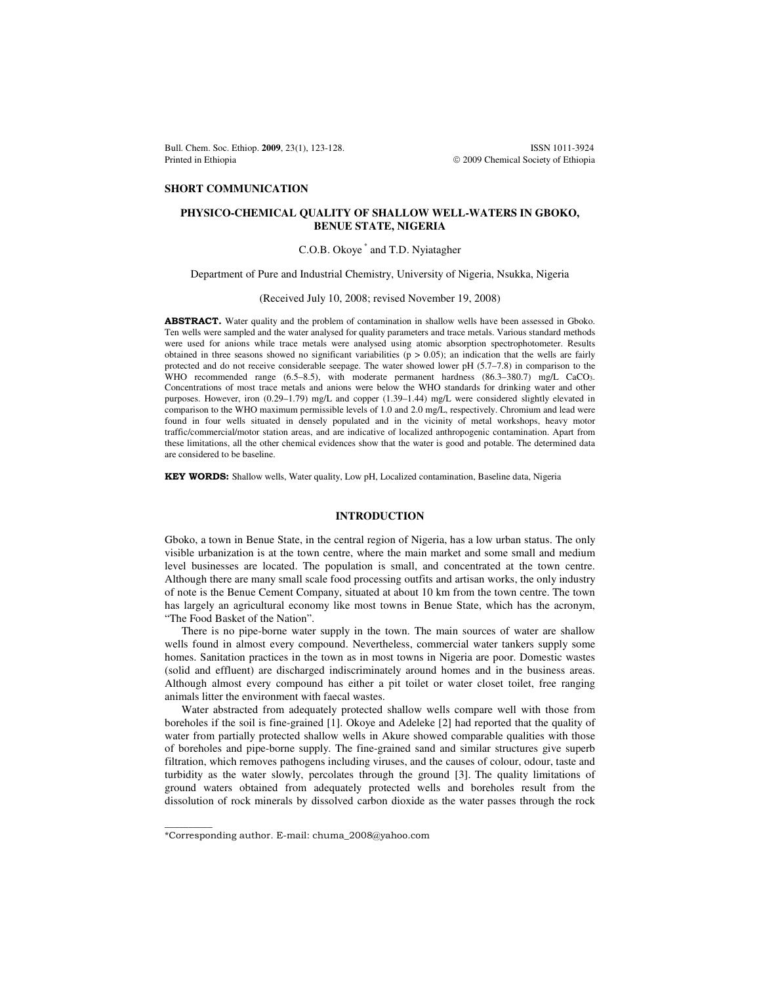Bull. Chem. Soc. Ethiop. **2009**, 23(1), 123-128. **ISSN 1011-3924** Printed in Ethiopia **2009** Chemical Society of Ethiopia

## **SHORT COMMUNICATION**

# **PHYSICO-CHEMICAL QUALITY OF SHALLOW WELL-WATERS IN GBOKO, BENUE STATE, NIGERIA**

# C.O.B. Okoye \* and T.D. Nyiatagher

Department of Pure and Industrial Chemistry, University of Nigeria, Nsukka, Nigeria

### (Received July 10, 2008; revised November 19, 2008)

ABSTRACT. Water quality and the problem of contamination in shallow wells have been assessed in Gboko. Ten wells were sampled and the water analysed for quality parameters and trace metals. Various standard methods were used for anions while trace metals were analysed using atomic absorption spectrophotometer. Results obtained in three seasons showed no significant variabilities ( $p > 0.05$ ); an indication that the wells are fairly protected and do not receive considerable seepage. The water showed lower pH (5.7–7.8) in comparison to the WHO recommended range (6.5–8.5), with moderate permanent hardness (86.3–380.7) mg/L CaCO<sub>3</sub>. Concentrations of most trace metals and anions were below the WHO standards for drinking water and other purposes. However, iron (0.29–1.79) mg/L and copper (1.39–1.44) mg/L were considered slightly elevated in comparison to the WHO maximum permissible levels of 1.0 and 2.0 mg/L, respectively. Chromium and lead were found in four wells situated in densely populated and in the vicinity of metal workshops, heavy motor traffic/commercial/motor station areas, and are indicative of localized anthropogenic contamination. Apart from these limitations, all the other chemical evidences show that the water is good and potable. The determined data are considered to be baseline.

KEY WORDS: Shallow wells, Water quality, Low pH, Localized contamination, Baseline data, Nigeria

## **INTRODUCTION**

Gboko, a town in Benue State, in the central region of Nigeria, has a low urban status. The only visible urbanization is at the town centre, where the main market and some small and medium level businesses are located. The population is small, and concentrated at the town centre. Although there are many small scale food processing outfits and artisan works, the only industry of note is the Benue Cement Company, situated at about 10 km from the town centre. The town has largely an agricultural economy like most towns in Benue State, which has the acronym, "The Food Basket of the Nation".

There is no pipe-borne water supply in the town. The main sources of water are shallow wells found in almost every compound. Nevertheless, commercial water tankers supply some homes. Sanitation practices in the town as in most towns in Nigeria are poor. Domestic wastes (solid and effluent) are discharged indiscriminately around homes and in the business areas. Although almost every compound has either a pit toilet or water closet toilet, free ranging animals litter the environment with faecal wastes.

Water abstracted from adequately protected shallow wells compare well with those from boreholes if the soil is fine-grained [1]. Okoye and Adeleke [2] had reported that the quality of water from partially protected shallow wells in Akure showed comparable qualities with those of boreholes and pipe-borne supply. The fine-grained sand and similar structures give superb filtration, which removes pathogens including viruses, and the causes of colour, odour, taste and turbidity as the water slowly, percolates through the ground [3]. The quality limitations of ground waters obtained from adequately protected wells and boreholes result from the dissolution of rock minerals by dissolved carbon dioxide as the water passes through the rock

 $\overline{\phantom{a}}$ 

<sup>\*</sup>Corresponding author. E-mail: chuma\_2008@yahoo.com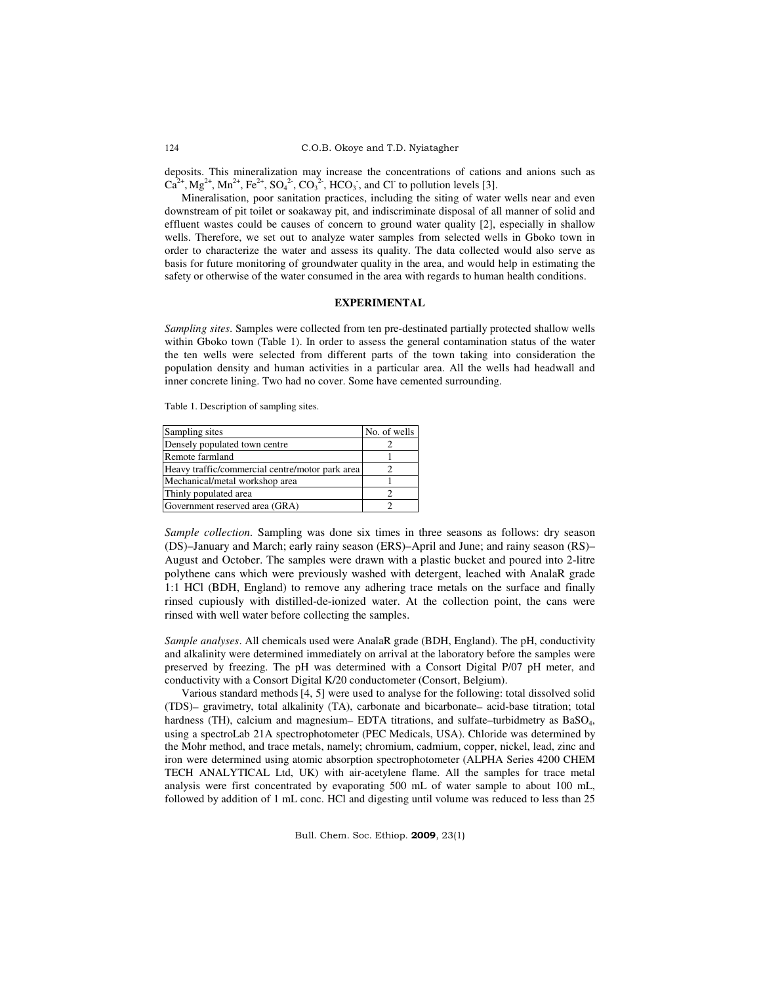deposits. This mineralization may increase the concentrations of cations and anions such as  $Ca^{2+}$ ,  $Mg^{2+}$ ,  $Mn^{2+}$ ,  $Fe^{2+}$ ,  $SO_4^{2+}$ ,  $CO_3^{2+}$ ,  $HCO_3^-$ , and Cl to pollution levels [3].

Mineralisation, poor sanitation practices, including the siting of water wells near and even downstream of pit toilet or soakaway pit, and indiscriminate disposal of all manner of solid and effluent wastes could be causes of concern to ground water quality [2], especially in shallow wells. Therefore, we set out to analyze water samples from selected wells in Gboko town in order to characterize the water and assess its quality. The data collected would also serve as basis for future monitoring of groundwater quality in the area, and would help in estimating the safety or otherwise of the water consumed in the area with regards to human health conditions.

### **EXPERIMENTAL**

*Sampling sites*. Samples were collected from ten pre-destinated partially protected shallow wells within Gboko town (Table 1). In order to assess the general contamination status of the water the ten wells were selected from different parts of the town taking into consideration the population density and human activities in a particular area. All the wells had headwall and inner concrete lining. Two had no cover. Some have cemented surrounding.

Table 1. Description of sampling sites.

| Sampling sites                                  | No. of wells |
|-------------------------------------------------|--------------|
| Densely populated town centre                   |              |
| Remote farmland                                 |              |
| Heavy traffic/commercial centre/motor park area |              |
| Mechanical/metal workshop area                  |              |
| Thinly populated area                           |              |
| Government reserved area (GRA)                  |              |

*Sample collection.* Sampling was done six times in three seasons as follows: dry season (DS)–January and March; early rainy season (ERS)–April and June; and rainy season (RS)– August and October. The samples were drawn with a plastic bucket and poured into 2-litre polythene cans which were previously washed with detergent, leached with AnalaR grade 1:1 HCl (BDH, England) to remove any adhering trace metals on the surface and finally rinsed cupiously with distilled-de-ionized water. At the collection point, the cans were rinsed with well water before collecting the samples.

*Sample analyses*. All chemicals used were AnalaR grade (BDH, England). The pH, conductivity and alkalinity were determined immediately on arrival at the laboratory before the samples were preserved by freezing. The pH was determined with a Consort Digital P/07 pH meter, and conductivity with a Consort Digital K/20 conductometer (Consort, Belgium).

Various standard methods[4, 5] were used to analyse for the following: total dissolved solid (TDS)– gravimetry, total alkalinity (TA), carbonate and bicarbonate– acid-base titration; total hardness (TH), calcium and magnesium- EDTA titrations, and sulfate-turbidmetry as BaSO<sub>4</sub>, using a spectroLab 21A spectrophotometer (PEC Medicals, USA). Chloride was determined by the Mohr method, and trace metals, namely; chromium, cadmium, copper, nickel, lead, zinc and iron were determined using atomic absorption spectrophotometer (ALPHA Series 4200 CHEM TECH ANALYTICAL Ltd, UK) with air-acetylene flame. All the samples for trace metal analysis were first concentrated by evaporating 500 mL of water sample to about 100 mL, followed by addition of 1 mL conc. HCl and digesting until volume was reduced to less than 25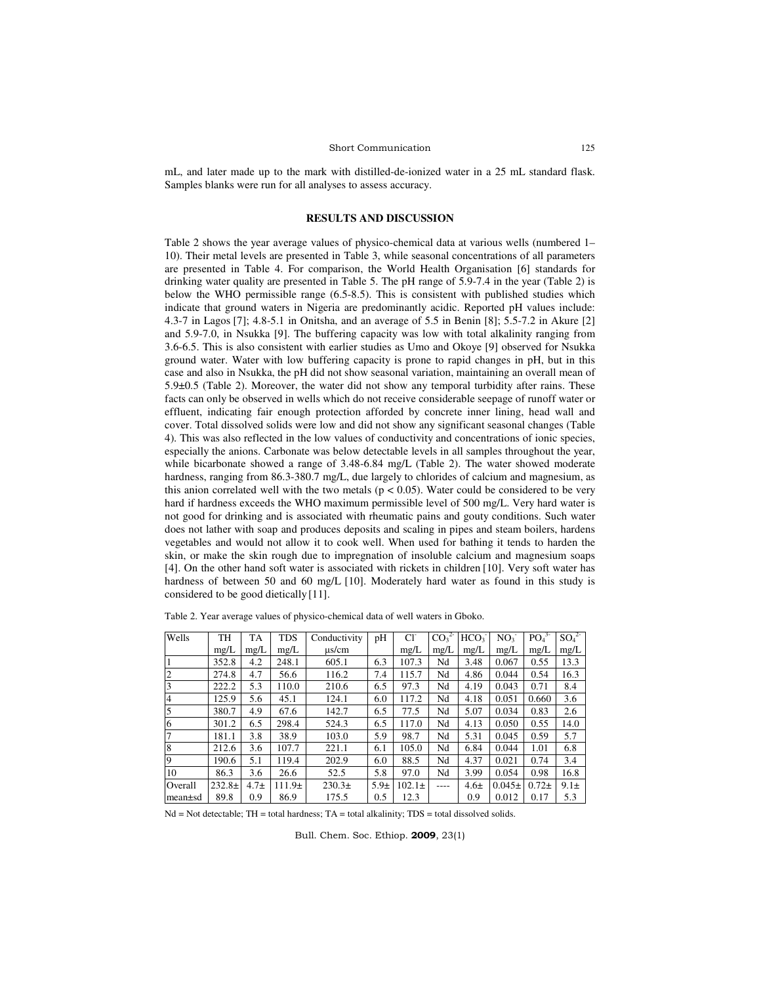#### Short Communication

mL, and later made up to the mark with distilled-de-ionized water in a 25 mL standard flask. Samples blanks were run for all analyses to assess accuracy.

## **RESULTS AND DISCUSSION**

Table 2 shows the year average values of physico-chemical data at various wells (numbered 1– 10). Their metal levels are presented in Table 3, while seasonal concentrations of all parameters are presented in Table 4. For comparison, the World Health Organisation [6] standards for drinking water quality are presented in Table 5. The pH range of 5.9-7.4 in the year (Table 2) is below the WHO permissible range (6.5-8.5). This is consistent with published studies which indicate that ground waters in Nigeria are predominantly acidic. Reported pH values include: 4.3-7 in Lagos [7]; 4.8-5.1 in Onitsha, and an average of 5.5 in Benin [8]; 5.5-7.2 in Akure [2] and 5.9-7.0, in Nsukka [9]. The buffering capacity was low with total alkalinity ranging from 3.6-6.5. This is also consistent with earlier studies as Umo and Okoye [9] observed for Nsukka ground water. Water with low buffering capacity is prone to rapid changes in pH, but in this case and also in Nsukka, the pH did not show seasonal variation, maintaining an overall mean of 5.9±0.5 (Table 2). Moreover, the water did not show any temporal turbidity after rains. These facts can only be observed in wells which do not receive considerable seepage of runoff water or effluent, indicating fair enough protection afforded by concrete inner lining, head wall and cover. Total dissolved solids were low and did not show any significant seasonal changes (Table 4). This was also reflected in the low values of conductivity and concentrations of ionic species, especially the anions. Carbonate was below detectable levels in all samples throughout the year, while bicarbonate showed a range of 3.48-6.84 mg/L (Table 2). The water showed moderate hardness, ranging from 86.3-380.7 mg/L, due largely to chlorides of calcium and magnesium, as this anion correlated well with the two metals ( $p < 0.05$ ). Water could be considered to be very hard if hardness exceeds the WHO maximum permissible level of 500 mg/L. Very hard water is not good for drinking and is associated with rheumatic pains and gouty conditions. Such water does not lather with soap and produces deposits and scaling in pipes and steam boilers, hardens vegetables and would not allow it to cook well. When used for bathing it tends to harden the skin, or make the skin rough due to impregnation of insoluble calcium and magnesium soaps [4]. On the other hand soft water is associated with rickets in children [10]. Very soft water has hardness of between 50 and 60 mg/L [10]. Moderately hard water as found in this study is considered to be good dietically [11].

| Wells         | TH       | TA       | TDS      | Conductivity | pH       | Cl <sup>-</sup> | CO <sub>3</sub> <sup>2</sup> | HCO <sub>3</sub> | NO <sub>3</sub> | PO <sub>4</sub> <sup>3</sup> | $SO_4^2$ |
|---------------|----------|----------|----------|--------------|----------|-----------------|------------------------------|------------------|-----------------|------------------------------|----------|
|               | mg/L     | mg/L     | mg/L     | us/cm        |          | mg/L            | mg/L                         | mg/L             | mg/L            | mg/L                         | mg/L     |
|               | 352.8    | 4.2      | 248.1    | 605.1        | 6.3      | 107.3           | Nd                           | 3.48             | 0.067           | 0.55                         | 13.3     |
|               | 274.8    | 4.7      | 56.6     | 116.2        | 7.4      | 115.7           | Nd                           | 4.86             | 0.044           | 0.54                         | 16.3     |
|               | 222.2    | 5.3      | 110.0    | 210.6        | 6.5      | 97.3            | Nd                           | 4.19             | 0.043           | 0.71                         | 8.4      |
|               | 125.9    | 5.6      | 45.1     | 124.1        | 6.0      | 117.2           | Nd                           | 4.18             | 0.051           | 0.660                        | 3.6      |
|               | 380.7    | 4.9      | 67.6     | 142.7        | 6.5      | 77.5            | Nd                           | 5.07             | 0.034           | 0.83                         | 2.6      |
|               | 301.2    | 6.5      | 298.4    | 524.3        | 6.5      | 117.0           | Nd                           | 4.13             | 0.050           | 0.55                         | 14.0     |
|               | 181.1    | 3.8      | 38.9     | 103.0        | 5.9      | 98.7            | Nd                           | 5.31             | 0.045           | 0.59                         | 5.7      |
| 8             | 212.6    | 3.6      | 107.7    | 221.1        | 6.1      | 105.0           | Nd                           | 6.84             | 0.044           | 1.01                         | 6.8      |
| $\mathbf Q$   | 190.6    | 5.1      | 119.4    | 202.9        | 6.0      | 88.5            | Nd                           | 4.37             | 0.021           | 0.74                         | 3.4      |
| 10            | 86.3     | 3.6      | 26.6     | 52.5         | 5.8      | 97.0            | Nd                           | 3.99             | 0.054           | 0.98                         | 16.8     |
| Overall       | $232.8+$ | $4.7\pm$ | $111.9+$ | $230.3+$     | $5.9\pm$ | $102.1 \pm$     | ----                         | $4.6\pm$         | $0.045\pm$      | $0.72 \pm$                   | $9.1\pm$ |
| $mean \pm sd$ | 89.8     | 0.9      | 86.9     | 175.5        | 0.5      | 12.3            |                              | 0.9              | 0.012           | 0.17                         | 5.3      |

Table 2. Year average values of physico-chemical data of well waters in Gboko.

Nd = Not detectable; TH = total hardness; TA = total alkalinity; TDS = total dissolved solids.

Bull. Chem. Soc. Ethiop. 2009, 23(1)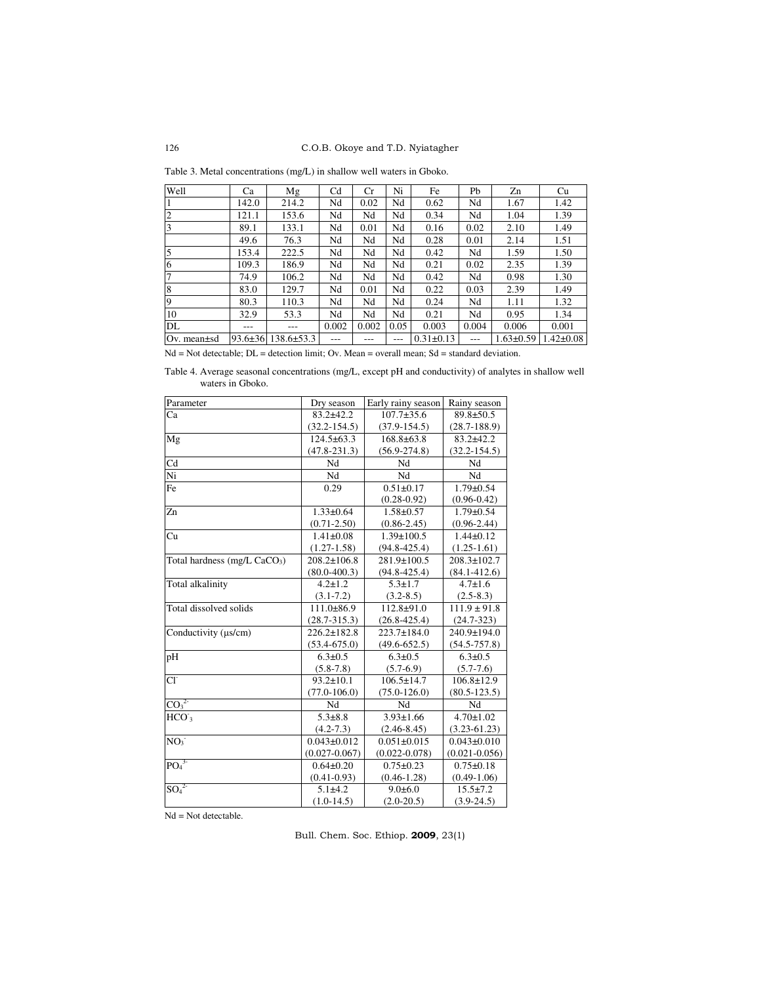Table 3. Metal concentrations (mg/L) in shallow well waters in Gboko.

| Well                 | Ca            | Mg               | C <sub>d</sub> | $_{\rm Cr}$ | Ni   | Fe              | Pb    | Zn              | Cu              |
|----------------------|---------------|------------------|----------------|-------------|------|-----------------|-------|-----------------|-----------------|
|                      | 142.0         | 214.2            | Nd             | 0.02        | Nd   | 0.62            | Nd    | 1.67            | 1.42            |
|                      | 121.1         | 153.6            | Nd             | Nd          | Nd   | 0.34            | Nd    | 1.04            | 1.39            |
|                      | 89.1          | 133.1            | Nd             | 0.01        | Nd   | 0.16            | 0.02  | 2.10            | 1.49            |
|                      | 49.6          | 76.3             | Nd             | Nd          | Nd   | 0.28            | 0.01  | 2.14            | 1.51            |
| $\overline{5}$       | 153.4         | 222.5            | Nd             | Nd          | Nd   | 0.42            | Nd    | 1.59            | 1.50            |
| 6                    | 109.3         | 186.9            | Nd             | Nd          | Nd   | 0.21            | 0.02  | 2.35            | 1.39            |
|                      | 74.9          | 106.2            | Nd             | Nd          | Nd   | 0.42            | Nd    | 0.98            | 1.30            |
| 8                    | 83.0          | 129.7            | Nd             | 0.01        | Nd   | 0.22            | 0.03  | 2.39            | 1.49            |
| $\overline{Q}$       | 80.3          | 110.3            | Nd             | Nd          | Nd   | 0.24            | Nd    | 1.11            | 1.32            |
| 10                   | 32.9          | 53.3             | Nd             | Nd          | Nd   | 0.21            | Nd    | 0.95            | 1.34            |
| DL                   | ---           | ---              | 0.002          | 0.002       | 0.05 | 0.003           | 0.004 | 0.006           | 0.001           |
| $Ov$ . mean $\pm$ sd | $93.6 \pm 36$ | $138.6 \pm 53.3$ |                |             | ---  | $0.31 \pm 0.13$ |       | $1.63 \pm 0.59$ | $1.42 \pm 0.08$ |

 $Nd = Not detectable; DL = detection limit; Ov. Mean = overall mean; Sd = standard deviation.$ 

Table 4. Average seasonal concentrations (mg/L, except pH and conductivity) of analytes in shallow well waters in Gboko.

| Parameter                                | Dry season        | Early rainy season | Rainy season      |
|------------------------------------------|-------------------|--------------------|-------------------|
| Ca                                       | $83.2 + 42.2$     | $107.7 \pm 35.6$   | 89.8±50.5         |
|                                          | $(32.2 - 154.5)$  | $(37.9 - 154.5)$   | $(28.7 - 188.9)$  |
| Mg                                       | $124.5 \pm 63.3$  | $168.8 \pm 63.8$   | $83.2 + 42.2$     |
|                                          | $(47.8 - 231.3)$  | $(56.9 - 274.8)$   | $(32.2 - 154.5)$  |
| Cd                                       | Nd                | Nd                 | Nd                |
| N <sub>i</sub>                           | Nd                | Nd                 | Nd                |
| Fe                                       | 0.29              | $0.51 \pm 0.17$    | $1.79 \pm 0.54$   |
|                                          |                   | $(0.28 - 0.92)$    | $(0.96 - 0.42)$   |
| Zn                                       | $1.33 \pm 0.64$   | $1.58 \pm 0.57$    | $1.79 \pm 0.54$   |
|                                          | $(0.71 - 2.50)$   | $(0.86 - 2.45)$    | $(0.96 - 2.44)$   |
| Cu                                       | $1.41 \pm 0.08$   | $1.39 \pm 100.5$   | $1.44 \pm 0.12$   |
|                                          | $(1.27 - 1.58)$   | $(94.8 - 425.4)$   | $(1.25 - 1.61)$   |
| Total hardness (mg/L CaCO <sub>3</sub> ) | $208.2 \pm 106.8$ | 281.9±100.5        | $208.3 \pm 102.7$ |
|                                          | $(80.0 - 400.3)$  | $(94.8 - 425.4)$   | $(84.1 - 412.6)$  |
| Total alkalinity                         | $4.2 \pm 1.2$     | $5.3 \pm 1.7$      | $4.7 \pm 1.6$     |
|                                          | $(3.1 - 7.2)$     | $(3.2 - 8.5)$      | $(2.5 - 8.3)$     |
| Total dissolved solids                   | $111.0 \pm 86.9$  | $112.8 + 91.0$     | $111.9 \pm 91.8$  |
|                                          | $(28.7 - 315.3)$  | $(26.8 - 425.4)$   | $(24.7 - 323)$    |
| Conductivity (µs/cm)                     | $226.2 \pm 182.8$ | $223.7 \pm 184.0$  | 240.9±194.0       |
|                                          | $(53.4 - 675.0)$  | $(49.6 - 652.5)$   | $(54.5 - 757.8)$  |
| pH                                       | $6.3 \pm 0.5$     | $6.3 \pm 0.5$      | $6.3 \pm 0.5$     |
|                                          | $(5.8 - 7.8)$     | $(5.7-6.9)$        | $(5.7 - 7.6)$     |
| $Cl^{\dagger}$                           | $93.2 \pm 10.1$   | $106.5 \pm 14.7$   | $106.8 \pm 12.9$  |
|                                          | $(77.0 - 106.0)$  | $(75.0 - 126.0)$   | $(80.5 - 123.5)$  |
| $\overline{CO_3}^{2}$                    | Nd                | Nd                 | Nd                |
| HCO <sub>3</sub>                         | $5.3 \pm 8.8$     | $3.93 \pm 1.66$    | $4.70 \pm 1.02$   |
|                                          | $(4.2 - 7.3)$     | $(2.46 - 8.45)$    | $(3.23 - 61.23)$  |
| NO <sub>3</sub>                          | $0.043 \pm 0.012$ | $0.051 \pm 0.015$  | $0.043 \pm 0.010$ |
|                                          | $(0.027 - 0.067)$ | $(0.022 - 0.078)$  | $(0.021 - 0.056)$ |
| $\overline{PO_4}^{3-}$                   | $0.64 \pm 0.20$   | $0.75 \pm 0.23$    | $0.75 \pm 0.18$   |
|                                          | $(0.41 - 0.93)$   | $(0.46 - 1.28)$    | $(0.49 - 1.06)$   |
| SO <sub>4</sub> <sup>2</sup>             | $5.1 \pm 4.2$     | $9.0 + 6.0$        | $15.5 \pm 7.2$    |
|                                          | $(1.0-14.5)$      | $(2.0-20.5)$       | $(3.9-24.5)$      |

Nd = Not detectable.

Bull. Chem. Soc. Ethiop. 2009, 23(1)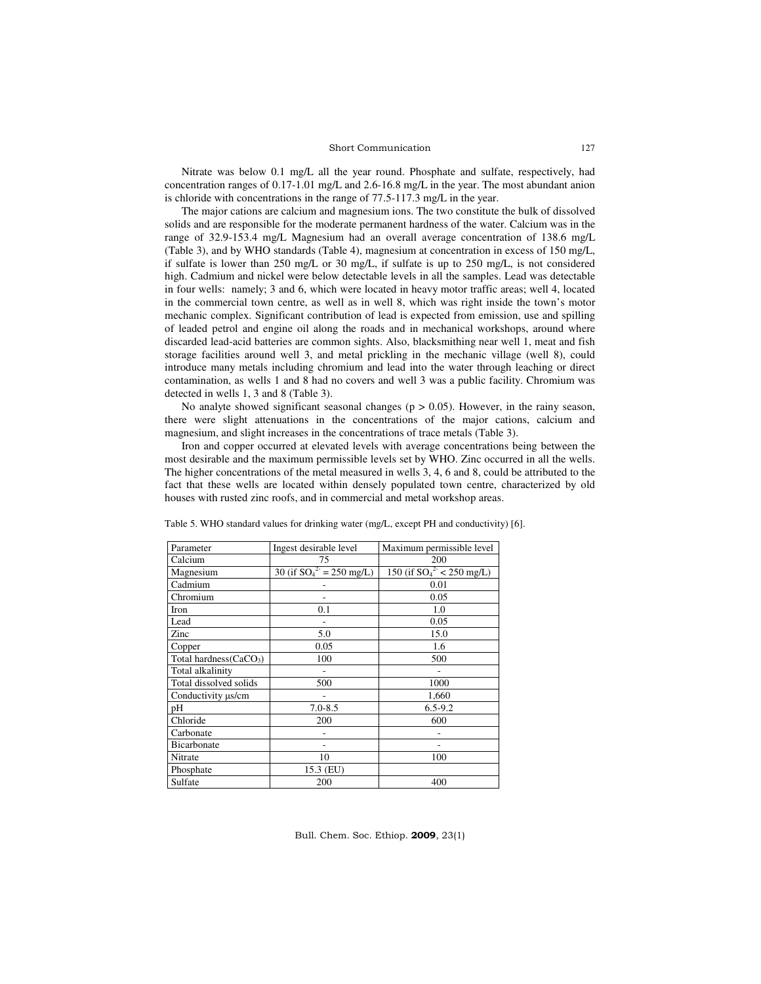#### Short Communication

Nitrate was below 0.1 mg/L all the year round. Phosphate and sulfate, respectively, had concentration ranges of 0.17-1.01 mg/L and 2.6-16.8 mg/L in the year. The most abundant anion is chloride with concentrations in the range of 77.5-117.3 mg/L in the year.

The major cations are calcium and magnesium ions. The two constitute the bulk of dissolved solids and are responsible for the moderate permanent hardness of the water. Calcium was in the range of 32.9-153.4 mg/L Magnesium had an overall average concentration of 138.6 mg/L (Table 3), and by WHO standards (Table 4), magnesium at concentration in excess of 150 mg/L, if sulfate is lower than 250 mg/L or 30 mg/L, if sulfate is up to 250 mg/L, is not considered high. Cadmium and nickel were below detectable levels in all the samples. Lead was detectable in four wells: namely; 3 and 6, which were located in heavy motor traffic areas; well 4, located in the commercial town centre, as well as in well 8, which was right inside the town's motor mechanic complex. Significant contribution of lead is expected from emission, use and spilling of leaded petrol and engine oil along the roads and in mechanical workshops, around where discarded lead-acid batteries are common sights. Also, blacksmithing near well 1, meat and fish storage facilities around well 3, and metal prickling in the mechanic village (well 8), could introduce many metals including chromium and lead into the water through leaching or direct contamination, as wells 1 and 8 had no covers and well 3 was a public facility. Chromium was detected in wells 1, 3 and 8 (Table 3).

No analyte showed significant seasonal changes ( $p > 0.05$ ). However, in the rainy season, there were slight attenuations in the concentrations of the major cations, calcium and magnesium, and slight increases in the concentrations of trace metals (Table 3).

Iron and copper occurred at elevated levels with average concentrations being between the most desirable and the maximum permissible levels set by WHO. Zinc occurred in all the wells. The higher concentrations of the metal measured in wells 3, 4, 6 and 8, could be attributed to the fact that these wells are located within densely populated town centre, characterized by old houses with rusted zinc roofs, and in commercial and metal workshop areas.

| Parameter                | Ingest desirable level        | Maximum permissible level    |
|--------------------------|-------------------------------|------------------------------|
| Calcium                  | 75                            | 200                          |
| Magnesium                | 30 (if $SO_4^{2} = 250$ mg/L) | 150 (if $SO_4^2$ < 250 mg/L) |
| Cadmium                  |                               | 0.01                         |
| Chromium                 |                               | 0.05                         |
| Iron                     | 0.1                           | 1.0                          |
| Lead                     |                               | 0.05                         |
| Zinc                     | 5.0                           | 15.0                         |
| Copper                   | 0.05                          | 1.6                          |
| Total hardness $(CaCO3)$ | 100                           | 500                          |
| Total alkalinity         |                               |                              |
| Total dissolved solids   | 500                           | 1000                         |
| Conductivity $\mu s/cm$  |                               | 1,660                        |
| pH                       | $7.0 - 8.5$                   | $6.5 - 9.2$                  |
| Chloride                 | 200                           | 600                          |
| Carbonate                |                               |                              |
| Bicarbonate              |                               |                              |
| Nitrate                  | 10                            | 100                          |
| Phosphate                | 15.3 (EU)                     |                              |
| Sulfate                  | 200                           | 400                          |

Table 5. WHO standard values for drinking water (mg/L, except PH and conductivity) [6].

Bull. Chem. Soc. Ethiop. 2009, 23(1)